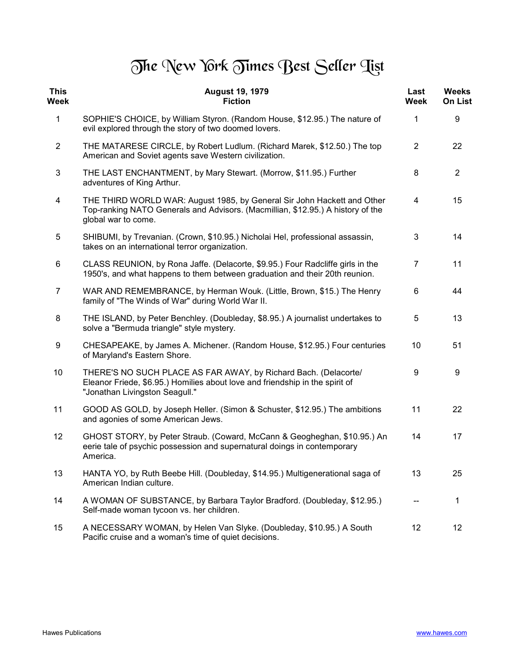## The New York Times Best Seller Tist

| <b>This</b><br><b>Week</b> | <b>August 19, 1979</b><br><b>Fiction</b>                                                                                                                                          | Last<br>Week   | <b>Weeks</b><br><b>On List</b> |
|----------------------------|-----------------------------------------------------------------------------------------------------------------------------------------------------------------------------------|----------------|--------------------------------|
| 1                          | SOPHIE'S CHOICE, by William Styron. (Random House, \$12.95.) The nature of<br>evil explored through the story of two doomed lovers.                                               | 1              | 9                              |
| $\overline{2}$             | THE MATARESE CIRCLE, by Robert Ludlum. (Richard Marek, \$12.50.) The top<br>American and Soviet agents save Western civilization.                                                 | 2              | 22                             |
| 3                          | THE LAST ENCHANTMENT, by Mary Stewart. (Morrow, \$11.95.) Further<br>adventures of King Arthur.                                                                                   | 8              | $\overline{2}$                 |
| $\overline{\mathbf{4}}$    | THE THIRD WORLD WAR: August 1985, by General Sir John Hackett and Other<br>Top-ranking NATO Generals and Advisors. (Macmillian, \$12.95.) A history of the<br>global war to come. | 4              | 15                             |
| 5                          | SHIBUMI, by Trevanian. (Crown, \$10.95.) Nicholai Hel, professional assassin,<br>takes on an international terror organization.                                                   | 3              | 14                             |
| 6                          | CLASS REUNION, by Rona Jaffe. (Delacorte, \$9.95.) Four Radcliffe girls in the<br>1950's, and what happens to them between graduation and their 20th reunion.                     | $\overline{7}$ | 11                             |
| $\overline{7}$             | WAR AND REMEMBRANCE, by Herman Wouk. (Little, Brown, \$15.) The Henry<br>family of "The Winds of War" during World War II.                                                        | 6              | 44                             |
| 8                          | THE ISLAND, by Peter Benchley. (Doubleday, \$8.95.) A journalist undertakes to<br>solve a "Bermuda triangle" style mystery.                                                       | 5              | 13                             |
| 9                          | CHESAPEAKE, by James A. Michener. (Random House, \$12.95.) Four centuries<br>of Maryland's Eastern Shore.                                                                         | 10             | 51                             |
| 10                         | THERE'S NO SUCH PLACE AS FAR AWAY, by Richard Bach. (Delacorte/<br>Eleanor Friede, \$6.95.) Homilies about love and friendship in the spirit of<br>"Jonathan Livingston Seagull." | 9              | 9                              |
| 11                         | GOOD AS GOLD, by Joseph Heller. (Simon & Schuster, \$12.95.) The ambitions<br>and agonies of some American Jews.                                                                  | 11             | 22                             |
| 12                         | GHOST STORY, by Peter Straub. (Coward, McCann & Geogheghan, \$10.95.) An<br>eerie tale of psychic possession and supernatural doings in contemporary<br>America.                  | 14             | 17                             |
| 13                         | HANTA YO, by Ruth Beebe Hill. (Doubleday, \$14.95.) Multigenerational saga of<br>American Indian culture.                                                                         | 13             | 25                             |
| 14                         | A WOMAN OF SUBSTANCE, by Barbara Taylor Bradford. (Doubleday, \$12.95.)<br>Self-made woman tycoon vs. her children.                                                               |                | 1                              |
| 15                         | A NECESSARY WOMAN, by Helen Van Slyke. (Doubleday, \$10.95.) A South<br>Pacific cruise and a woman's time of quiet decisions.                                                     | 12             | 12                             |